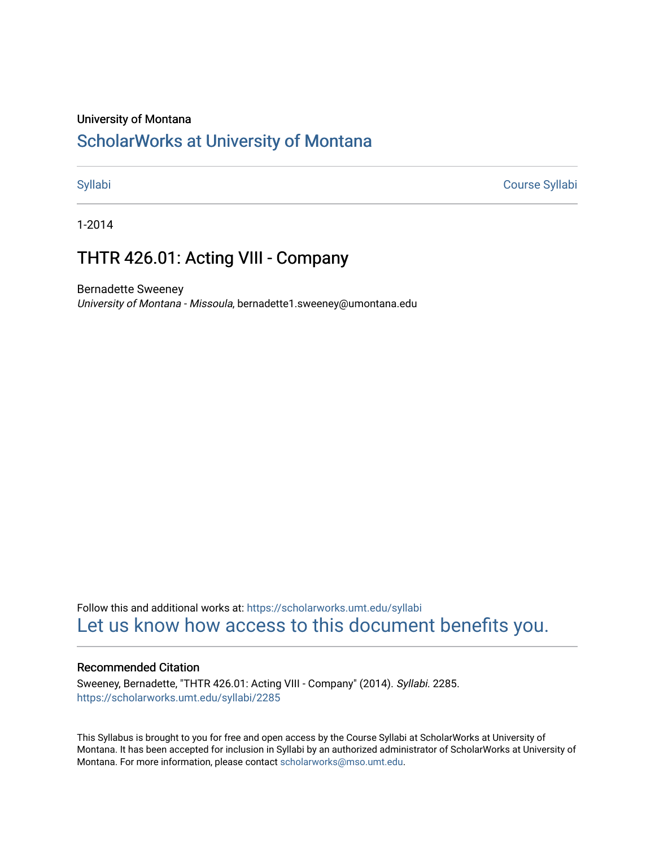#### University of Montana

# [ScholarWorks at University of Montana](https://scholarworks.umt.edu/)

[Syllabi](https://scholarworks.umt.edu/syllabi) [Course Syllabi](https://scholarworks.umt.edu/course_syllabi) 

1-2014

# THTR 426.01: Acting VIII - Company

Bernadette Sweeney University of Montana - Missoula, bernadette1.sweeney@umontana.edu

Follow this and additional works at: [https://scholarworks.umt.edu/syllabi](https://scholarworks.umt.edu/syllabi?utm_source=scholarworks.umt.edu%2Fsyllabi%2F2285&utm_medium=PDF&utm_campaign=PDFCoverPages)  [Let us know how access to this document benefits you.](https://goo.gl/forms/s2rGfXOLzz71qgsB2) 

#### Recommended Citation

Sweeney, Bernadette, "THTR 426.01: Acting VIII - Company" (2014). Syllabi. 2285. [https://scholarworks.umt.edu/syllabi/2285](https://scholarworks.umt.edu/syllabi/2285?utm_source=scholarworks.umt.edu%2Fsyllabi%2F2285&utm_medium=PDF&utm_campaign=PDFCoverPages)

This Syllabus is brought to you for free and open access by the Course Syllabi at ScholarWorks at University of Montana. It has been accepted for inclusion in Syllabi by an authorized administrator of ScholarWorks at University of Montana. For more information, please contact [scholarworks@mso.umt.edu.](mailto:scholarworks@mso.umt.edu)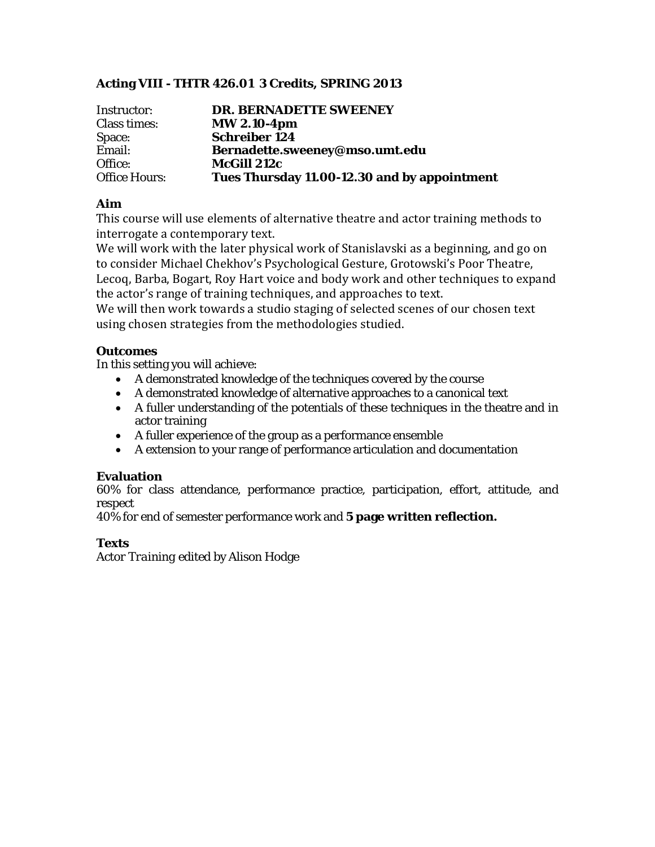## **Acting VIII - THTR 426.01 3 Credits, SPRING 2013**

| Instructor:          | <b>DR. BERNADETTE SWEENEY</b>                |
|----------------------|----------------------------------------------|
| Class times:         | <b>MW 2.10-4pm</b>                           |
| Space:               | <b>Schreiber 124</b>                         |
| Email:               | Bernadette.sweeney@mso.umt.edu               |
| Office:              | <b>McGill 212c</b>                           |
| <b>Office Hours:</b> | Tues Thursday 11.00-12.30 and by appointment |

## **Aim**

This course will use elements of alternative theatre and actor training methods to interrogate a contemporary text.

We will work with the later physical work of Stanislavski as a beginning, and go on to consider Michael Chekhov's Psychological Gesture, Grotowski's Poor Theatre, Lecoq, Barba, Bogart, Roy Hart voice and body work and other techniques to expand the actor's range of training techniques, and approaches to text.

We will then work towards a studio staging of selected scenes of our chosen text using chosen strategies from the methodologies studied.

## **Outcomes**

In this setting you will achieve:

- A demonstrated knowledge of the techniques covered by the course
- A demonstrated knowledge of alternative approaches to a canonical text
- A fuller understanding of the potentials of these techniques in the theatre and in actor training
- A fuller experience of the group as a performance ensemble
- A extension to your range of performance articulation and documentation

## **Evaluation**

60% for class attendance, performance practice, participation, effort, attitude, and respect

40% for end of semester performance work and **5 page written reflection.**

## **Texts**

*Actor Training* edited by Alison Hodge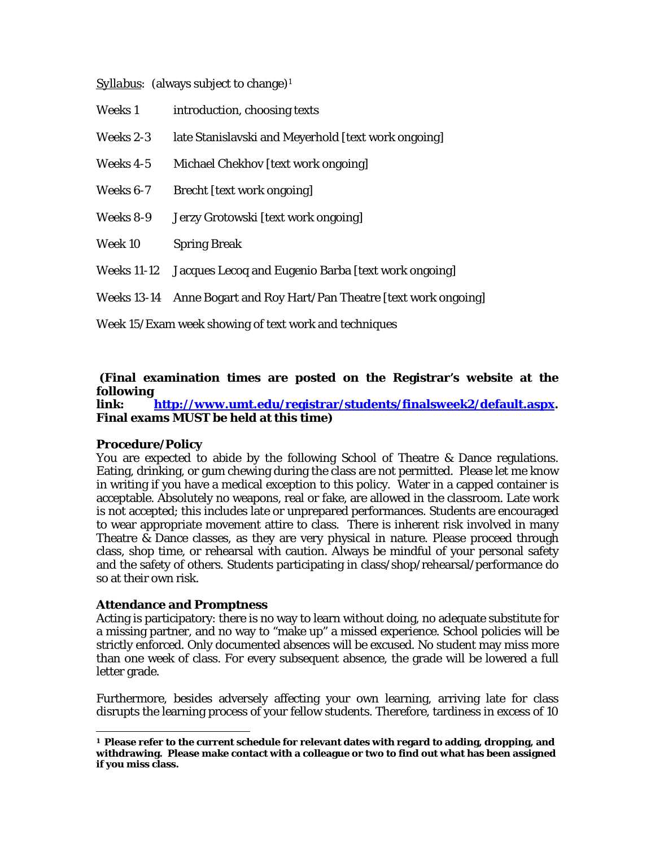*Syllabus:* (always subject to change)<sup>[1](#page-2-0)</sup>

| Weeks 1 |  | introduction, choosing texts |
|---------|--|------------------------------|
|---------|--|------------------------------|

Weeks 2-3 late Stanislavski and Meyerhold [text work ongoing]

- Weeks 4-5 Michael Chekhov [text work ongoing]
- Weeks 6-7 Brecht [text work ongoing]
- Weeks 8-9 Jerzy Grotowski [text work ongoing]

Week 10 Spring Break

- Weeks 11-12 Jacques Lecoq and Eugenio Barba [text work ongoing]
- Weeks 13-14 Anne Bogart and Roy Hart/Pan Theatre [text work ongoing]

Week 15/Exam week showing of text work and techniques

## **(Final examination times are posted on the Registrar's website at the following**

**link: [http://www.umt.edu/registrar/students/finalsweek2/default.aspx.](http://www.umt.edu/registrar/students/finalsweek2/default.aspx) Final exams MUST be held at this time)**

#### **Procedure/Policy**

You are expected to abide by the following School of Theatre & Dance regulations. Eating, drinking, or gum chewing during the class are not permitted. Please let me know in writing if you have a medical exception to this policy. Water in a capped container is acceptable. Absolutely no weapons, real or fake, are allowed in the classroom. Late work is not accepted; this includes late or unprepared performances. Students are encouraged to wear appropriate movement attire to class. There is inherent risk involved in many Theatre & Dance classes, as they are very physical in nature. Please proceed through class, shop time, or rehearsal with caution. Always be mindful of your personal safety and the safety of others. Students participating in class/shop/rehearsal/performance do so at their own risk.

#### **Attendance and Promptness**

Acting is participatory: there is no way to learn without doing, no adequate substitute for a missing partner, and no way to "make up" a missed experience. School policies will be strictly enforced. Only documented absences will be excused. No student may miss more than one week of class. For every subsequent absence, the grade will be lowered a full letter grade.

Furthermore, besides adversely affecting your own learning, arriving late for class disrupts the learning process of your fellow students. Therefore, tardiness in excess of 10

<span id="page-2-0"></span>**1 Please refer to the current schedule for relevant dates with regard to adding, dropping, and withdrawing. Please make contact with a colleague or two to find out what has been assigned if you miss class.**